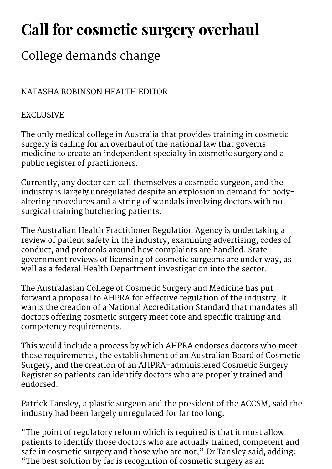## Call for cosmetic surgery overhaul

## College demands change

## NATASHA ROBINSON HEALTH EDITOR

## EXCLUSIVE

The only medical college in Australia that provides training in cosmetic surgery is calling for an overhaul of the national law that governs medicine to create an independent specialty in cosmetic surgery and a public register of practitioners.

Currently, any doctor can call themselves a cosmetic surgeon, and the industry is largely unregulated despite an explosion in demand for bodyaltering procedures and a string of scandals involving doctors with no surgical training butchering patients.

The Australian Health Practitioner Regulation Agency is undertaking a review of patient safety in the industry, examining advertising, codes of conduct, and protocols around how complaints are handled. State government reviews of licensing of cosmetic surgeons are under way, as well as a federal Health Department investigation into the sector.

The Australasian College of Cosmetic Surgery and Medicine has put forward a proposal to AHPRA for effective regulation of the industry. It wants the creation of a National Accreditation Standard that mandates all doctors offering cosmetic surgery meet core and specific training and competency requirements.

This would include a process by which AHPRA endorses doctors who meet those requirements, the establishment of an Australian Board of Cosmetic Surgery, and the creation of an AHPRA-administered Cosmetic Surgery Register so patients can identify doctors who are properly trained and endorsed.

Patrick Tansley, a plastic surgeon and the president of the ACCSM, said the industry had been largely unregulated for far too long.

"The point of regulatory reform which is required is that it must allow patients to identify those doctors who are actually trained, competent and safe in cosmetic surgery and those who are not," Dr Tansley said, adding: "The best solution by far is recognition of cosmetic surgery as an